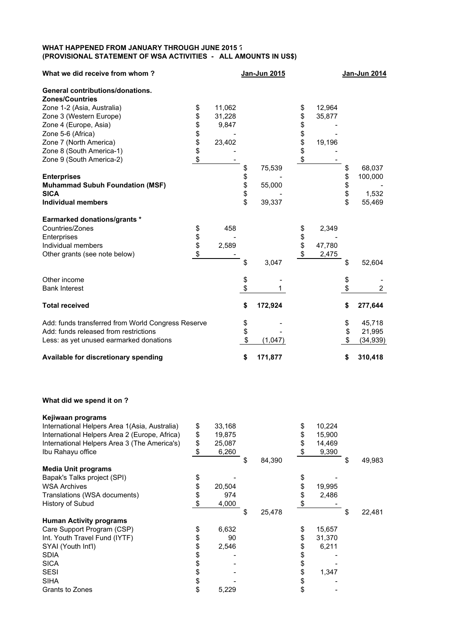## **WHAT HAPPENED FROM JANUARY THROUGH JUNE 2015 ? (PROVISIONAL STATEMENT OF WSA ACTIVITIES - ALL AMOUNTS IN US\$)**

| What we did receive from whom?                     |          |        |          | Jan-Jun 2015 |          |        | Jan-Jun 2014         |
|----------------------------------------------------|----------|--------|----------|--------------|----------|--------|----------------------|
| <b>General contributions/donations.</b>            |          |        |          |              |          |        |                      |
| <b>Zones/Countries</b>                             |          |        |          |              |          |        |                      |
| Zone 1-2 (Asia, Australia)                         | \$       | 11,062 |          |              | \$       | 12,964 |                      |
| Zone 3 (Western Europe)                            | \$       | 31,228 |          |              | \$       | 35,877 |                      |
| Zone 4 (Europe, Asia)                              | \$       | 9,847  |          |              | \$       |        |                      |
| Zone 5-6 (Africa)                                  |          |        |          |              |          |        |                      |
| Zone 7 (North America)                             | \$\$\$   | 23,402 |          |              | \$\$     | 19,196 |                      |
| Zone 8 (South America-1)                           |          |        |          |              |          |        |                      |
| Zone 9 (South America-2)                           | \$       |        |          |              | \$       |        |                      |
|                                                    |          |        | \$       | 75,539       |          |        | \$<br>68,037         |
| <b>Enterprises</b>                                 |          |        |          |              |          |        | 100,000              |
| <b>Muhammad Subuh Foundation (MSF)</b>             |          |        | \$\$\$\$ | 55,000       |          |        | \$                   |
| <b>SICA</b>                                        |          |        |          |              |          |        | \$<br>1,532          |
| <b>Individual members</b>                          |          |        |          | 39,337       |          |        | \$<br>55,469         |
| <b>Earmarked donations/grants *</b>                |          |        |          |              |          |        |                      |
| Countries/Zones                                    | \$       | 458    |          |              | \$       | 2,349  |                      |
| Enterprises                                        |          |        |          |              |          |        |                      |
| Individual members                                 | \$<br>\$ | 2,589  |          |              | \$<br>\$ | 47,780 |                      |
| Other grants (see note below)                      | \$       |        |          |              | \$       | 2,475  |                      |
|                                                    |          |        | \$       | 3,047        |          |        | \$<br>52,604         |
| Other income                                       |          |        | \$       |              |          |        | \$                   |
| <b>Bank Interest</b>                               |          |        | \$       |              |          |        | \$<br>$\overline{2}$ |
| <b>Total received</b>                              |          |        | \$       | 172,924      |          |        | \$<br>277,644        |
| Add: funds transferred from World Congress Reserve |          |        |          |              |          |        | \$<br>45,718         |
| Add: funds released from restrictions              |          |        | \$<br>\$ |              |          |        | \$<br>21,995         |
| Less: as yet unused earmarked donations            |          |        | \$       | (1,047)      |          |        | \$<br>(34, 939)      |
| Available for discretionary spending               |          |        | \$       | 171,877      |          |        | \$<br>310,418        |

## **What did we spend it on ?**

| \$            | 33,168 |              | \$<br>10,224 |              |
|---------------|--------|--------------|--------------|--------------|
| \$            | 19,875 |              | \$<br>15,900 |              |
| \$            | 25,087 |              | \$<br>14,469 |              |
| \$            | 6,260  |              | \$<br>9,390  |              |
|               |        | \$<br>84,390 |              | \$<br>49,983 |
|               |        |              |              |              |
| \$            |        |              | \$           |              |
| \$            | 20,504 |              | \$<br>19,995 |              |
| \$            | 974    |              | \$<br>2,486  |              |
| $\frac{1}{2}$ | 4,000  |              | \$           |              |
|               |        | \$<br>25,478 |              | \$<br>22,481 |
|               |        |              |              |              |
| \$            | 6,632  |              | \$<br>15,657 |              |
| \$            | 90     |              | \$<br>31,370 |              |
| \$            | 2,546  |              | \$<br>6,211  |              |
| \$            |        |              | \$           |              |
| \$            |        |              | \$           |              |
| \$            |        |              | \$<br>1,347  |              |
|               |        |              |              |              |
| \$            |        |              | \$           |              |
|               |        |              |              |              |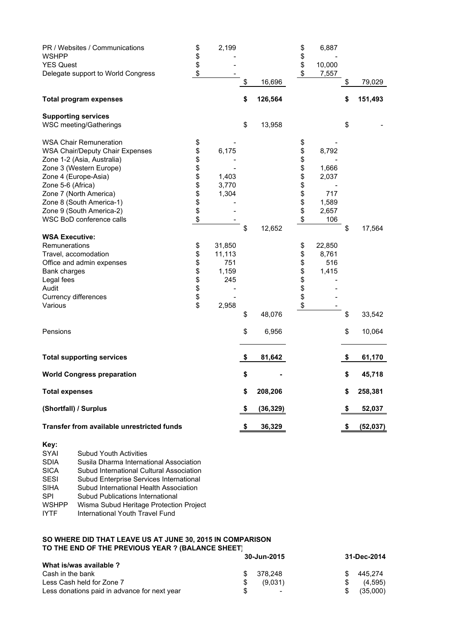| PR / Websites / Communications                         | \$       | 2,199  |               |           | \$       | 6,887           |                 |
|--------------------------------------------------------|----------|--------|---------------|-----------|----------|-----------------|-----------------|
| <b>WSHPP</b>                                           | \$       |        |               |           | \$       |                 |                 |
| <b>YES Quest</b><br>Delegate support to World Congress | \$<br>\$ |        |               |           | \$<br>\$ | 10,000<br>7,557 |                 |
|                                                        |          |        | \$            | 16,696    |          |                 | \$<br>79,029    |
| <b>Total program expenses</b>                          |          |        | \$            | 126,564   |          |                 | \$<br>151,493   |
| <b>Supporting services</b>                             |          |        |               |           |          |                 |                 |
| WSC meeting/Gatherings                                 |          |        | \$            | 13,958    |          |                 | \$              |
| <b>WSA Chair Remuneration</b>                          | \$       |        |               |           | \$       |                 |                 |
| <b>WSA Chair/Deputy Chair Expenses</b>                 | \$       | 6,175  |               |           | \$       | 8,792           |                 |
| Zone 1-2 (Asia, Australia)                             | \$       |        |               |           | \$       |                 |                 |
| Zone 3 (Western Europe)                                | \$       |        |               |           | \$       | 1,666           |                 |
| Zone 4 (Europe-Asia)                                   | \$       | 1,403  |               |           | \$       | 2,037           |                 |
| Zone 5-6 (Africa)                                      | \$       | 3,770  |               |           | \$       |                 |                 |
| Zone 7 (North America)                                 | \$       | 1,304  |               |           |          | 717             |                 |
| Zone 8 (South America-1)                               | \$       |        |               |           | \$\$     | 1,589           |                 |
| Zone 9 (South America-2)                               | \$       |        |               |           |          | 2,657           |                 |
| WSC BoD conference calls                               | \$       |        |               |           | \$       | 106             |                 |
|                                                        |          |        | \$            | 12,652    |          |                 | \$<br>17,564    |
| <b>WSA Executive:</b>                                  |          |        |               |           |          |                 |                 |
| Remunerations                                          | \$       | 31,850 |               |           | \$       | 22,850          |                 |
| Travel, accomodation                                   | \$       | 11,113 |               |           | \$       | 8,761           |                 |
| Office and admin expenses                              | \$       | 751    |               |           | \$       | 516             |                 |
| Bank charges                                           | \$       | 1,159  |               |           | \$       | 1,415           |                 |
| Legal fees                                             | \$       | 245    |               |           | \$<br>\$ |                 |                 |
| Audit                                                  | \$<br>\$ |        |               |           |          |                 |                 |
| Currency differences                                   |          |        |               |           | \$       |                 |                 |
| Various                                                | \$       | 2,958  |               |           | \$       |                 |                 |
|                                                        |          |        | \$            | 48,076    |          |                 | \$<br>33,542    |
| Pensions                                               |          |        | \$            | 6,956     |          |                 | \$<br>10,064    |
| <b>Total supporting services</b>                       |          |        | $\frac{1}{2}$ | 81,642    |          |                 | \$<br>61,170    |
| <b>World Congress preparation</b>                      |          |        | \$            |           |          |                 | \$<br>45,718    |
| <b>Total expenses</b>                                  |          |        | \$            | 208,206   |          |                 | \$<br>258,381   |
| (Shortfall) / Surplus                                  |          |        | \$            | (36, 329) |          |                 | \$<br>52,037    |
| <b>Transfer from available unrestricted funds</b>      |          |        | \$            | 36,329    |          |                 | \$<br>(52, 037) |
|                                                        |          |        |               |           |          |                 |                 |

| Key:         |                                          |
|--------------|------------------------------------------|
| SYAI         | <b>Subud Youth Activities</b>            |
| <b>SDIA</b>  | Susila Dharma International Association  |
| <b>SICA</b>  | Subud International Cultural Association |
| <b>SESI</b>  | Subud Enterprise Services International  |
| <b>SIHA</b>  | Subud International Health Association   |
| SPI          | Subud Publications International         |
| <b>WSHPP</b> | Wisma Subud Heritage Protection Project  |
| IYTF         | International Youth Travel Fund          |
|              |                                          |

## **SO WHERE DID THAT LEAVE US AT JUNE 30, 2015 IN COMPARISON TO THE END OF THE PREVIOUS YEAR ? (BALANCE SHEET)**

|                                              | 30-Jun-2015              | 31-Dec-2014 |          |  |
|----------------------------------------------|--------------------------|-------------|----------|--|
| What is/was available ?                      |                          |             |          |  |
| Cash in the bank                             | 378.248                  |             | 445.274  |  |
| Less Cash held for Zone 7                    | (9.031)                  |             | (4,595)  |  |
| Less donations paid in advance for next year | $\overline{\phantom{0}}$ |             | (35,000) |  |